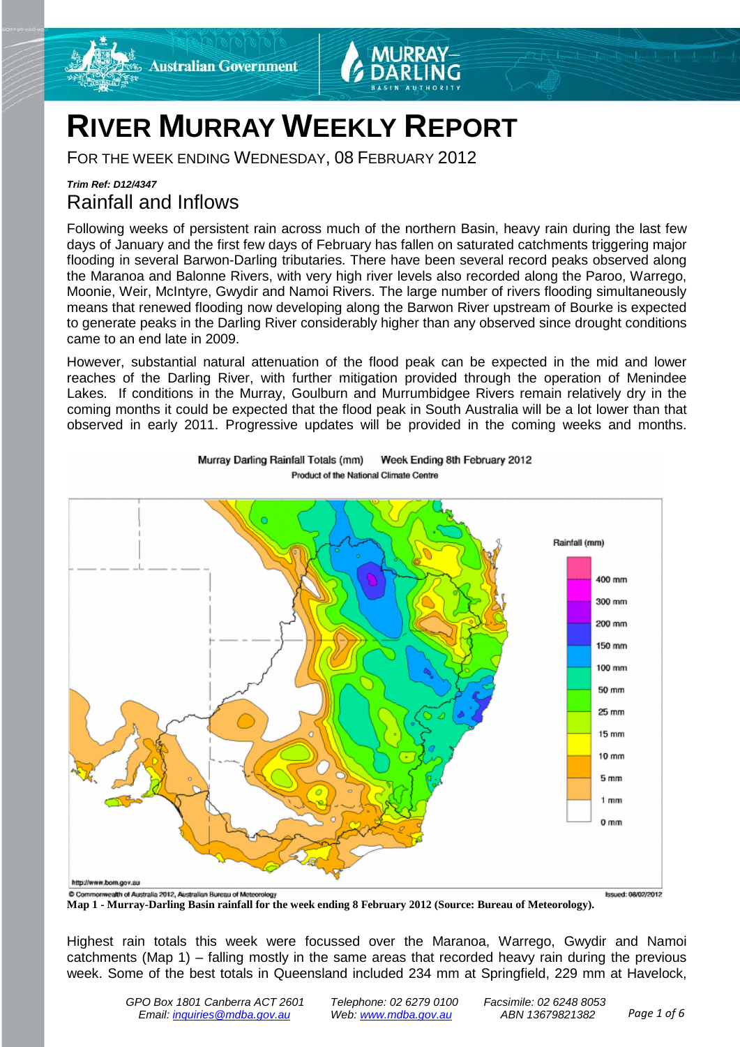



# **RIVER MURRAY WEEKLY REPORT**

FOR THE WEEK ENDING WEDNESDAY, 08 FEBRUARY 2012

# *Trim Ref: D12/4347* Rainfall and Inflows

Following weeks of persistent rain across much of the northern Basin, heavy rain during the last few days of January and the first few days of February has fallen on saturated catchments triggering major flooding in several Barwon-Darling tributaries. There have been several record peaks observed along the Maranoa and Balonne Rivers, with very high river levels also recorded along the Paroo, Warrego, Moonie, Weir, McIntyre, Gwydir and Namoi Rivers. The large number of rivers flooding simultaneously means that renewed flooding now developing along the Barwon River upstream of Bourke is expected to generate peaks in the Darling River considerably higher than any observed since drought conditions came to an end late in 2009.

However, substantial natural attenuation of the flood peak can be expected in the mid and lower reaches of the Darling River, with further mitigation provided through the operation of Menindee Lakes. If conditions in the Murray, Goulburn and Murrumbidgee Rivers remain relatively dry in the coming months it could be expected that the flood peak in South Australia will be a lot lower than that observed in early 2011. Progressive updates will be provided in the coming weeks and months.



Murray Darling Rainfall Totals (mm) Week Ending 8th February 2012 Product of the National Climate Centre

**Map 1 - Murray-Darling Basin rainfall for the week ending 8 February 2012 (Source: Bureau of Meteorology).**

Highest rain totals this week were focussed over the Maranoa, Warrego, Gwydir and Namoi catchments (Map 1) – falling mostly in the same areas that recorded heavy rain during the previous week. Some of the best totals in Queensland included 234 mm at Springfield, 229 mm at Havelock,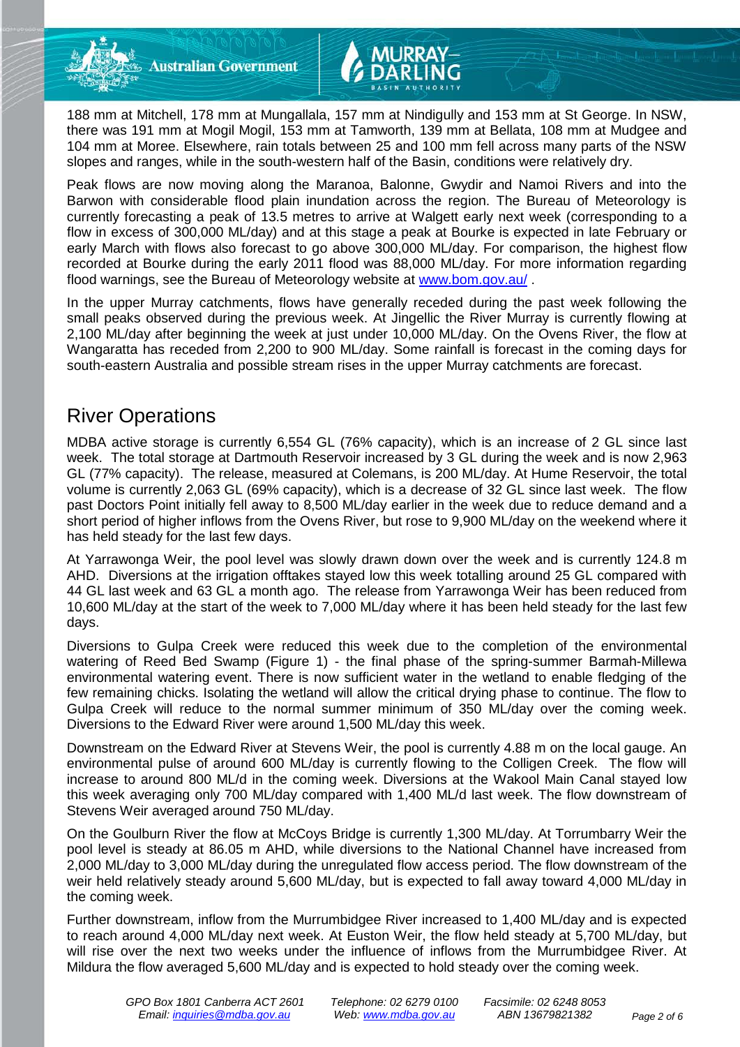

188 mm at Mitchell, 178 mm at Mungallala, 157 mm at Nindigully and 153 mm at St George. In NSW, there was 191 mm at Mogil Mogil, 153 mm at Tamworth, 139 mm at Bellata, 108 mm at Mudgee and 104 mm at Moree. Elsewhere, rain totals between 25 and 100 mm fell across many parts of the NSW slopes and ranges, while in the south-western half of the Basin, conditions were relatively dry.

Peak flows are now moving along the Maranoa, Balonne, Gwydir and Namoi Rivers and into the Barwon with considerable flood plain inundation across the region. The Bureau of Meteorology is currently forecasting a peak of 13.5 metres to arrive at Walgett early next week (corresponding to a flow in excess of 300,000 ML/day) and at this stage a peak at Bourke is expected in late February or early March with flows also forecast to go above 300,000 ML/day. For comparison, the highest flow recorded at Bourke during the early 2011 flood was 88,000 ML/day. For more information regarding flood warnings, see the Bureau of Meteorology website at [www.bom.gov.au/](http://www.bom.gov.au/) .

In the upper Murray catchments, flows have generally receded during the past week following the small peaks observed during the previous week. At Jingellic the River Murray is currently flowing at 2,100 ML/day after beginning the week at just under 10,000 ML/day. On the Ovens River, the flow at Wangaratta has receded from 2,200 to 900 ML/day. Some rainfall is forecast in the coming days for south-eastern Australia and possible stream rises in the upper Murray catchments are forecast.

# River Operations

MDBA active storage is currently 6,554 GL (76% capacity), which is an increase of 2 GL since last week. The total storage at Dartmouth Reservoir increased by 3 GL during the week and is now 2,963 GL (77% capacity). The release, measured at Colemans, is 200 ML/day. At Hume Reservoir, the total volume is currently 2,063 GL (69% capacity), which is a decrease of 32 GL since last week. The flow past Doctors Point initially fell away to 8,500 ML/day earlier in the week due to reduce demand and a short period of higher inflows from the Ovens River, but rose to 9,900 ML/day on the weekend where it has held steady for the last few days.

At Yarrawonga Weir, the pool level was slowly drawn down over the week and is currently 124.8 m AHD. Diversions at the irrigation offtakes stayed low this week totalling around 25 GL compared with 44 GL last week and 63 GL a month ago. The release from Yarrawonga Weir has been reduced from 10,600 ML/day at the start of the week to 7,000 ML/day where it has been held steady for the last few days.

Diversions to Gulpa Creek were reduced this week due to the completion of the environmental watering of Reed Bed Swamp (Figure 1) - the final phase of the spring-summer Barmah-Millewa environmental watering event. There is now sufficient water in the wetland to enable fledging of the few remaining chicks. Isolating the wetland will allow the critical drying phase to continue. The flow to Gulpa Creek will reduce to the normal summer minimum of 350 ML/day over the coming week. Diversions to the Edward River were around 1,500 ML/day this week.

Downstream on the Edward River at Stevens Weir, the pool is currently 4.88 m on the local gauge. An environmental pulse of around 600 ML/day is currently flowing to the Colligen Creek. The flow will increase to around 800 ML/d in the coming week. Diversions at the Wakool Main Canal stayed low this week averaging only 700 ML/day compared with 1,400 ML/d last week. The flow downstream of Stevens Weir averaged around 750 ML/day.

On the Goulburn River the flow at McCoys Bridge is currently 1,300 ML/day. At Torrumbarry Weir the pool level is steady at 86.05 m AHD, while diversions to the National Channel have increased from 2,000 ML/day to 3,000 ML/day during the unregulated flow access period. The flow downstream of the weir held relatively steady around 5,600 ML/day, but is expected to fall away toward 4,000 ML/day in the coming week.

Further downstream, inflow from the Murrumbidgee River increased to 1,400 ML/day and is expected to reach around 4,000 ML/day next week. At Euston Weir, the flow held steady at 5,700 ML/day, but will rise over the next two weeks under the influence of inflows from the Murrumbidgee River. At Mildura the flow averaged 5,600 ML/day and is expected to hold steady over the coming week.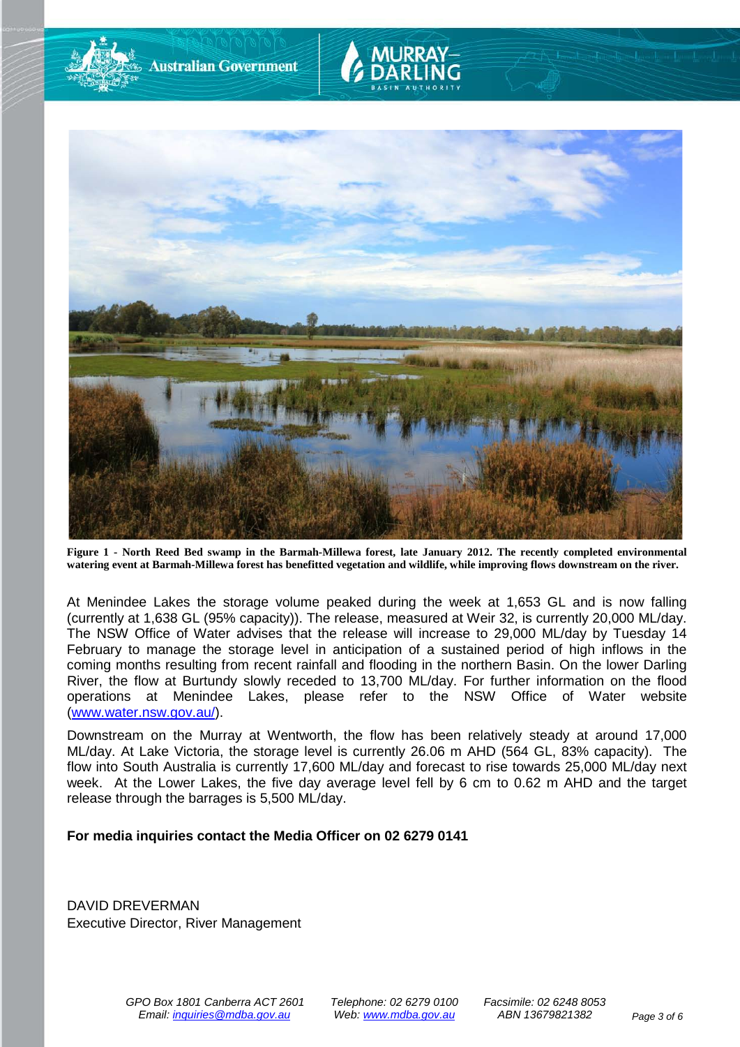

**Figure 1 - North Reed Bed swamp in the Barmah-Millewa forest, late January 2012. The recently completed environmental watering event at Barmah-Millewa forest has benefitted vegetation and wildlife, while improving flows downstream on the river.**

At Menindee Lakes the storage volume peaked during the week at 1,653 GL and is now falling (currently at 1,638 GL (95% capacity)). The release, measured at Weir 32, is currently 20,000 ML/day. The NSW Office of Water advises that the release will increase to 29,000 ML/day by Tuesday 14 February to manage the storage level in anticipation of a sustained period of high inflows in the coming months resulting from recent rainfall and flooding in the northern Basin. On the lower Darling River, the flow at Burtundy slowly receded to 13,700 ML/day. For further information on the flood operations at Menindee Lakes, please refer to the NSW Office of Water website [\(www.water.nsw.gov.au/\)](http://www.water.nsw.gov.au/).

Downstream on the Murray at Wentworth, the flow has been relatively steady at around 17,000 ML/day. At Lake Victoria, the storage level is currently 26.06 m AHD (564 GL, 83% capacity). The flow into South Australia is currently 17,600 ML/day and forecast to rise towards 25,000 ML/day next week. At the Lower Lakes, the five day average level fell by 6 cm to 0.62 m AHD and the target release through the barrages is 5,500 ML/day.

#### **For media inquiries contact the Media Officer on 02 6279 0141**

**Australian Government** 

DAVID DREVERMAN Executive Director, River Management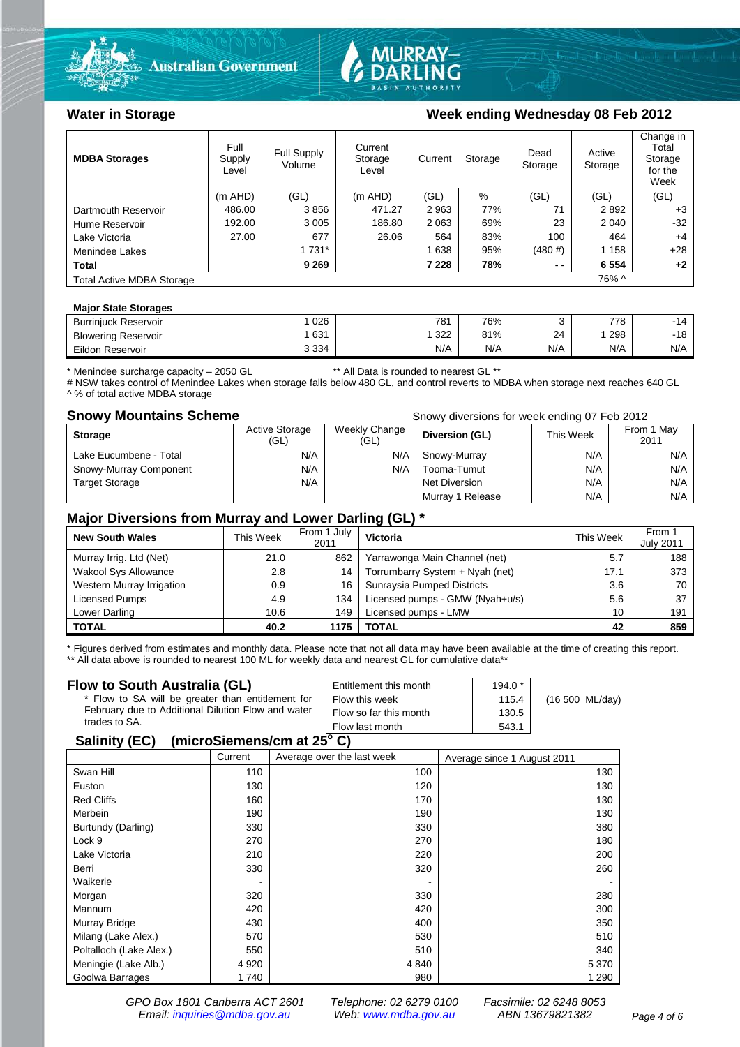



### Water in Storage Week ending Wednesday 08 Feb 2012

| <b>MDBA Storages</b>                      | Full<br>Supply<br>Level | <b>Full Supply</b><br>Volume | Current<br>Current<br>Storage<br>Level |         | Storage | Dead<br>Storage | Active<br>Storage | Change in<br>Total<br>Storage<br>for the<br>Week |  |
|-------------------------------------------|-------------------------|------------------------------|----------------------------------------|---------|---------|-----------------|-------------------|--------------------------------------------------|--|
|                                           | $(m$ AHD)               | (GL)                         | $(m$ AHD)                              | (GL)    | %       | (GL)            | (GL)              | (GL)                                             |  |
| Dartmouth Reservoir                       | 486.00                  | 3856                         | 471.27                                 | 2963    | 77%     | 71              | 2892              | $+3$                                             |  |
| Hume Reservoir                            | 192.00                  | 3 0 0 5                      | 186.80                                 | 2 0 6 3 | 69%     | 23              | 2 0 4 0           | $-32$                                            |  |
| Lake Victoria                             | 27.00                   | 677                          | 26.06                                  | 564     | 83%     | 100             | 464               | $+4$                                             |  |
| Menindee Lakes                            |                         | 1 7 3 1 *                    |                                        | 638     | 95%     | (480#)          | 1 1 5 8           | $+28$                                            |  |
| <b>Total</b>                              |                         | 9 2 6 9                      |                                        | 7 2 2 8 | 78%     | $ -$            | 6 5 5 4           | $+2$                                             |  |
| 76% ^<br><b>Total Active MDBA Storage</b> |                         |                              |                                        |         |         |                 |                   |                                                  |  |

#### **Major State Storages**

| <b>Burriniuck Reservoir</b> | 026     | 781 | 76% |     | 778 |       |
|-----------------------------|---------|-----|-----|-----|-----|-------|
| <b>Blowering Reservoir</b>  | 631     | 322 | 81% | 24  | 298 | $-18$ |
| Eildon<br>r Reservoir       | 3 3 3 4 | N/A | N/A | N/A | N/A | N/A   |
|                             |         |     |     |     |     |       |

\* Menindee surcharge capacity – 2050 GL \*\* All Data is rounded to nearest GL \*\*

# NSW takes control of Menindee Lakes when storage falls below 480 GL, and control reverts to MDBA when storage next reaches 640 GL ^ % of total active MDBA storage

**Snowy Mountains Scheme Snowy diversions for week ending 07 Feb 2012** 

| <b>Storage</b>         | <b>Active Storage</b><br>(GL) | Weekly Change<br>(GL) | Diversion (GL)       | This Week | From 1 May<br>2011 |
|------------------------|-------------------------------|-----------------------|----------------------|-----------|--------------------|
| Lake Eucumbene - Total | N/A                           | N/A                   | Snowy-Murray         | N/A       | N/A                |
| Snowy-Murray Component | N/A                           | N/A                   | Tooma-Tumut          | N/A       | N/A                |
| <b>Target Storage</b>  | N/A                           |                       | <b>Net Diversion</b> | N/A       | N/A                |
|                        |                               |                       | Murray 1 Release     | N/A       | N/A                |

### **Major Diversions from Murray and Lower Darling (GL) \***

| <b>New South Wales</b>    | This Week | From 1 July<br>2011 | Victoria                        | <b>This Week</b> | From 1<br><b>July 2011</b> |
|---------------------------|-----------|---------------------|---------------------------------|------------------|----------------------------|
| Murray Irrig. Ltd (Net)   | 21.0      | 862                 | Yarrawonga Main Channel (net)   | 5.7              | 188                        |
| Wakool Sys Allowance      | 2.8       | 14                  | Torrumbarry System + Nyah (net) | 17.1             | 373                        |
| Western Murray Irrigation | 0.9       | 16                  | Sunraysia Pumped Districts      | 3.6              | 70                         |
| Licensed Pumps            | 4.9       | 134                 | Licensed pumps - GMW (Nyah+u/s) | 5.6              | 37                         |
| Lower Darling             | 10.6      | 149                 | Licensed pumps - LMW            | 10               | 191                        |
| <b>TOTAL</b>              | 40.2      | 1175                | TOTAL                           | 42               | 859                        |

\* Figures derived from estimates and monthly data. Please note that not all data may have been available at the time of creating this report. \*\* All data above is rounded to nearest 100 ML for weekly data and nearest GL for cumulative data\*\*

#### **Flow to South Australia (GL)**

| Flow to South Australia (GL)<br>* Flow to SA will be greater than entitlement for<br>February due to Additional Dilution Flow and water | Entitlement this month<br>Flow this week<br>Flow so far this month | $194.0*$<br>115.4<br>130.5 | (16 500 ML/day) |
|-----------------------------------------------------------------------------------------------------------------------------------------|--------------------------------------------------------------------|----------------------------|-----------------|
| trades to SA.                                                                                                                           | Flow last month                                                    | 543.1                      |                 |
| 0.11100                                                                                                                                 |                                                                    |                            |                 |

### **Salinity (EC) (microSiemens/cm at 25o C)**

|                         | Current | Average over the last week | Average since 1 August 2011 |
|-------------------------|---------|----------------------------|-----------------------------|
| Swan Hill               | 110     | 100                        | 130                         |
| Euston                  | 130     | 120                        | 130                         |
| <b>Red Cliffs</b>       | 160     | 170                        | 130                         |
| Merbein                 | 190     | 190                        | 130                         |
| Burtundy (Darling)      | 330     | 330                        | 380                         |
| Lock 9                  | 270     | 270                        | 180                         |
| Lake Victoria           | 210     | 220                        | 200                         |
| Berri                   | 330     | 320                        | 260                         |
| Waikerie                |         |                            |                             |
| Morgan                  | 320     | 330                        | 280                         |
| Mannum                  | 420     | 420                        | 300                         |
| Murray Bridge           | 430     | 400                        | 350                         |
| Milang (Lake Alex.)     | 570     | 530                        | 510                         |
| Poltalloch (Lake Alex.) | 550     | 510                        | 340                         |
| Meningie (Lake Alb.)    | 4 9 20  | 4 8 4 0                    | 5 3 7 0                     |
| Goolwa Barrages         | 1740    | 980                        | 1 2 9 0                     |

*GPO Box 1801 Canberra ACT 2601 Telephone: 02 6279 0100 Facsimile: 02 6248 8053 Email: [inquiries@mdba.gov.au](mailto:inquiries@mdba.gov.au) Web: [www.mdba.gov.au](http://www.mdba.gov.au/) ABN 13679821382 Page 4 of 6*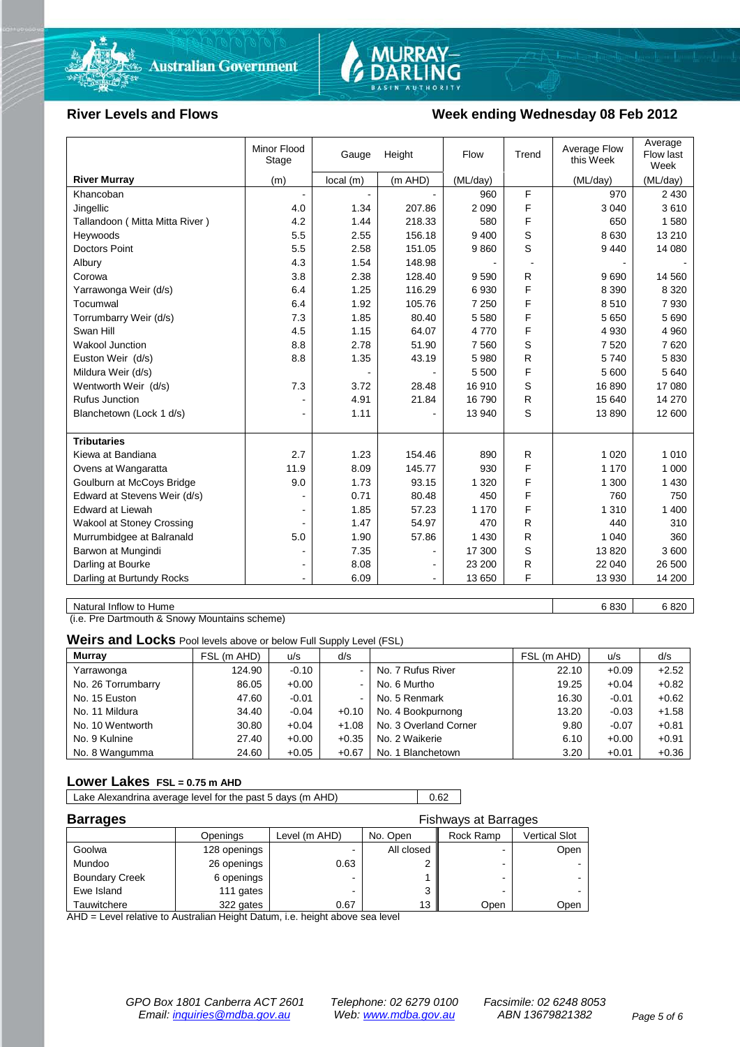



### River Levels and Flows **Week ending Wednesday 08 Feb 2012**

| (m AHD)<br><b>River Murray</b><br>(m)<br>local(m)<br>(ML/day)         |              |          |          |
|-----------------------------------------------------------------------|--------------|----------|----------|
|                                                                       |              | (ML/day) | (ML/day) |
| Khancoban                                                             | F<br>960     | 970      | 2 4 3 0  |
| 1.34<br>4.0<br>207.86<br>Jingellic                                    | F<br>2 0 9 0 | 3 0 4 0  | 3610     |
| 4.2<br>1.44<br>218.33<br>Tallandoon ( Mitta Mitta River )             | F<br>580     | 650      | 1580     |
| 5.5<br>2.55<br>156.18<br>Heywoods                                     | S<br>9 4 0 0 | 8 6 3 0  | 13 210   |
| <b>Doctors Point</b><br>5.5<br>2.58<br>151.05                         | S<br>9860    | 9440     | 14 080   |
| 4.3<br>1.54<br>148.98<br>Albury                                       |              |          |          |
| 2.38<br>3.8<br>128.40<br>Corowa                                       | 9590<br>R    | 9690     | 14 560   |
| 1.25<br>116.29<br>6.4<br>Yarrawonga Weir (d/s)                        | F<br>6930    | 8 3 9 0  | 8 3 2 0  |
| Tocumwal<br>1.92<br>105.76<br>6.4                                     | F<br>7 2 5 0 | 8510     | 7930     |
| Torrumbarry Weir (d/s)<br>7.3<br>1.85<br>80.40                        | F<br>5 5 8 0 | 5650     | 5690     |
| 4.5<br>64.07<br>Swan Hill<br>1.15                                     | F<br>4770    | 4 9 3 0  | 4 9 6 0  |
| 2.78<br>51.90<br><b>Wakool Junction</b><br>8.8                        | S<br>7560    | 7 5 20   | 7620     |
| Euston Weir (d/s)<br>8.8<br>1.35<br>43.19                             | R<br>5 9 8 0 | 5740     | 5830     |
| Mildura Weir (d/s)                                                    | F<br>5 500   | 5 600    | 5 6 4 0  |
| 7.3<br>3.72<br>Wentworth Weir (d/s)<br>28.48                          | S<br>16910   | 16890    | 17 080   |
| <b>Rufus Junction</b><br>4.91<br>21.84                                | R<br>16790   | 15 640   | 14 270   |
| Blanchetown (Lock 1 d/s)<br>1.11<br>$\blacksquare$                    | S<br>13 940  | 13890    | 12 600   |
|                                                                       |              |          |          |
| <b>Tributaries</b>                                                    |              |          |          |
| Kiewa at Bandiana<br>2.7<br>1.23<br>154.46                            | R<br>890     | 1 0 2 0  | 1 0 1 0  |
| Ovens at Wangaratta<br>11.9<br>8.09<br>145.77                         | F<br>930     | 1 1 7 0  | 1 0 0 0  |
| Goulburn at McCoys Bridge<br>9.0<br>1.73<br>93.15                     | F<br>1 3 2 0 | 1 300    | 1 4 3 0  |
| Edward at Stevens Weir (d/s)<br>0.71<br>80.48                         | F<br>450     | 760      | 750      |
| <b>Edward at Liewah</b><br>1.85<br>57.23                              | F<br>1 1 7 0 | 1 3 1 0  | 1 400    |
| Wakool at Stoney Crossing<br>1.47<br>54.97                            | 470<br>R.    | 440      | 310      |
| 5.0<br>Murrumbidgee at Balranald<br>1.90<br>57.86                     | 1 4 3 0<br>R | 1 0 4 0  | 360      |
| Barwon at Mungindi<br>7.35                                            | S<br>17 300  | 13820    | 3600     |
| Darling at Bourke<br>8.08<br>۰<br>$\blacksquare$                      | R<br>23 200  | 22 040   | 26 500   |
| Darling at Burtundy Rocks<br>6.09<br>$\blacksquare$<br>$\blacksquare$ | F<br>13 650  | 13 930   | 14 200   |

Natural Inflow to Hume 6 820 6 820 6 820 6 820 6 820 6 820 6 820 6 820 6 820 6 820 6 820 6 820 6 820 6 820 6 8

(i.e. Pre Dartmouth & Snowy Mountains scheme)

**Weirs and Locks** Pool levels above or below Full Supply Level (FSL)

| <b>Murray</b>      | FSL (m AHD) | u/s     | d/s            |                       | FSL (m AHD) | u/s     | d/s     |
|--------------------|-------------|---------|----------------|-----------------------|-------------|---------|---------|
| Yarrawonga         | 124.90      | $-0.10$ | $\sim$         | No. 7 Rufus River     | 22.10       | $+0.09$ | $+2.52$ |
| No. 26 Torrumbarry | 86.05       | $+0.00$ | $\sim$         | No. 6 Murtho          | 19.25       | $+0.04$ | $+0.82$ |
| No. 15 Euston      | 47.60       | $-0.01$ | $\blacksquare$ | No. 5 Renmark         | 16.30       | $-0.01$ | $+0.62$ |
| No. 11 Mildura     | 34.40       | $-0.04$ | $+0.10$        | No. 4 Bookpurnong     | 13.20       | $-0.03$ | $+1.58$ |
| No. 10 Wentworth   | 30.80       | $+0.04$ | $+1.08$        | No. 3 Overland Corner | 9.80        | $-0.07$ | $+0.81$ |
| No. 9 Kulnine      | 27.40       | $+0.00$ | $+0.35$        | No. 2 Waikerie        | 6.10        | $+0.00$ | $+0.91$ |
| No. 8 Wangumma     | 24.60       | $+0.05$ | $+0.67$        | No. 1 Blanchetown     | 3.20        | $+0.01$ | $+0.36$ |

#### **Lower Lakes FSL = 0.75 m AHD**

Lake Alexandrina average level for the past 5 days (m AHD) 0.62

| <b>Barrages</b><br><b>Fishways at Barrages</b> |              |               |            |           |               |
|------------------------------------------------|--------------|---------------|------------|-----------|---------------|
|                                                | Openings     | Level (m AHD) | No. Open   | Rock Ramp | Vertical Slot |
| Goolwa                                         | 128 openings |               | All closed |           | Open          |
| Mundoo                                         | 26 openings  | 0.63          |            | -         |               |
| <b>Boundary Creek</b>                          | 6 openings   |               |            |           |               |
| Ewe Island                                     | 111 gates    |               | J          |           |               |
| Tauwitchere                                    | 322 gates    | 0.67          | 13         | Open      | Open          |

AHD = Level relative to Australian Height Datum, i.e. height above sea level